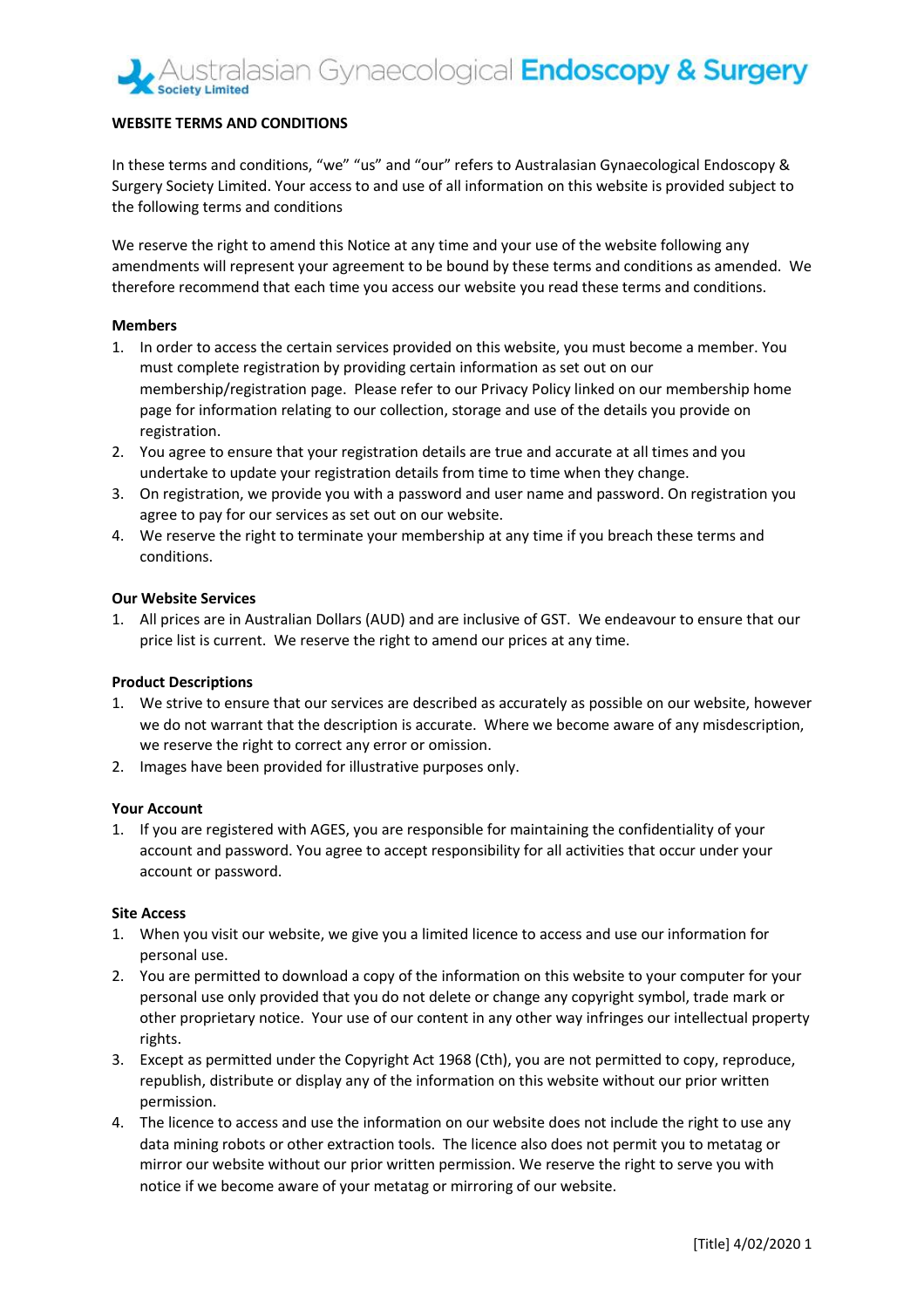Australasian Gynaecological Endoscopy & Surgery

## **WEBSITE TERMS AND CONDITIONS**

In these terms and conditions, "we" "us" and "our" refers to Australasian Gynaecological Endoscopy & Surgery Society Limited. Your access to and use of all information on this website is provided subject to the following terms and conditions

We reserve the right to amend this Notice at any time and your use of the website following any amendments will represent your agreement to be bound by these terms and conditions as amended. We therefore recommend that each time you access our website you read these terms and conditions.

## **Members**

- 1. In order to access the certain services provided on this website, you must become a member. You must complete registration by providing certain information as set out on our membership/registration page. Please refer to our Privacy Policy linked on our membership home page for information relating to our collection, storage and use of the details you provide on registration.
- 2. You agree to ensure that your registration details are true and accurate at all times and you undertake to update your registration details from time to time when they change.
- 3. On registration, we provide you with a password and user name and password. On registration you agree to pay for our services as set out on our website.
- 4. We reserve the right to terminate your membership at any time if you breach these terms and conditions.

## **Our Website Services**

1. All prices are in Australian Dollars (AUD) and are inclusive of GST. We endeavour to ensure that our price list is current. We reserve the right to amend our prices at any time.

## **Product Descriptions**

- 1. We strive to ensure that our services are described as accurately as possible on our website, however we do not warrant that the description is accurate. Where we become aware of any misdescription, we reserve the right to correct any error or omission.
- 2. Images have been provided for illustrative purposes only.

## **Your Account**

1. If you are registered with AGES, you are responsible for maintaining the confidentiality of your account and password. You agree to accept responsibility for all activities that occur under your account or password.

## **Site Access**

- 1. When you visit our website, we give you a limited licence to access and use our information for personal use.
- 2. You are permitted to download a copy of the information on this website to your computer for your personal use only provided that you do not delete or change any copyright symbol, trade mark or other proprietary notice. Your use of our content in any other way infringes our intellectual property rights.
- 3. Except as permitted under the Copyright Act 1968 (Cth), you are not permitted to copy, reproduce, republish, distribute or display any of the information on this website without our prior written permission.
- 4. The licence to access and use the information on our website does not include the right to use any data mining robots or other extraction tools. The licence also does not permit you to metatag or mirror our website without our prior written permission. We reserve the right to serve you with notice if we become aware of your metatag or mirroring of our website.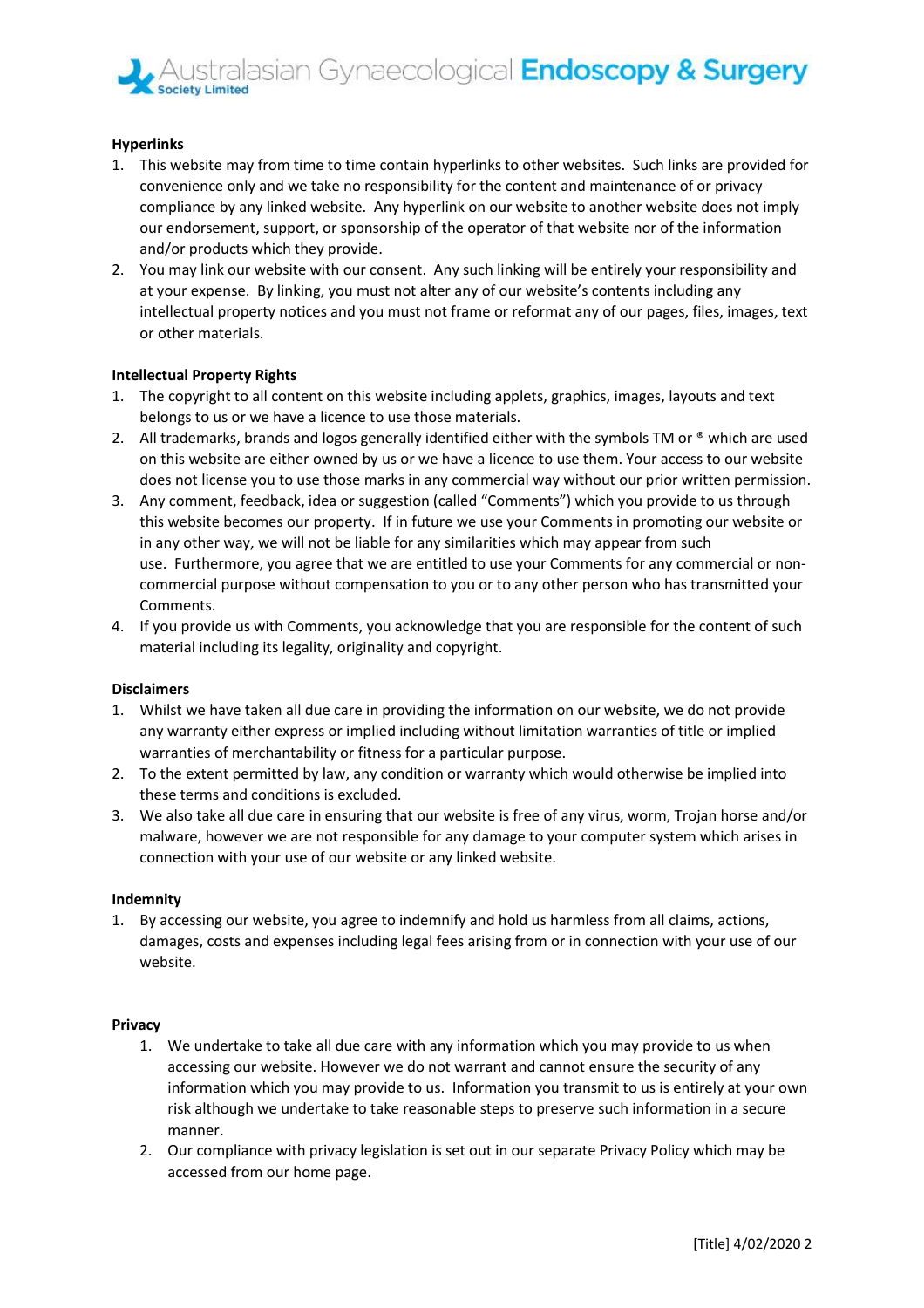# ustralasian Gynaecological Endoscopy & Surgery

## **Hyperlinks**

- 1. This website may from time to time contain hyperlinks to other websites. Such links are provided for convenience only and we take no responsibility for the content and maintenance of or privacy compliance by any linked website. Any hyperlink on our website to another website does not imply our endorsement, support, or sponsorship of the operator of that website nor of the information and/or products which they provide.
- 2. You may link our website with our consent. Any such linking will be entirely your responsibility and at your expense. By linking, you must not alter any of our website's contents including any intellectual property notices and you must not frame or reformat any of our pages, files, images, text or other materials.

## **Intellectual Property Rights**

- 1. The copyright to all content on this website including applets, graphics, images, layouts and text belongs to us or we have a licence to use those materials.
- 2. All trademarks, brands and logos generally identified either with the symbols TM or  $\bullet$  which are used on this website are either owned by us or we have a licence to use them. Your access to our website does not license you to use those marks in any commercial way without our prior written permission.
- 3. Any comment, feedback, idea or suggestion (called "Comments") which you provide to us through this website becomes our property. If in future we use your Comments in promoting our website or in any other way, we will not be liable for any similarities which may appear from such use. Furthermore, you agree that we are entitled to use your Comments for any commercial or noncommercial purpose without compensation to you or to any other person who has transmitted your Comments.
- 4. If you provide us with Comments, you acknowledge that you are responsible for the content of such material including its legality, originality and copyright.

## **Disclaimers**

- 1. Whilst we have taken all due care in providing the information on our website, we do not provide any warranty either express or implied including without limitation warranties of title or implied warranties of merchantability or fitness for a particular purpose.
- 2. To the extent permitted by law, any condition or warranty which would otherwise be implied into these terms and conditions is excluded.
- 3. We also take all due care in ensuring that our website is free of any virus, worm, Trojan horse and/or malware, however we are not responsible for any damage to your computer system which arises in connection with your use of our website or any linked website.

## **Indemnity**

1. By accessing our website, you agree to indemnify and hold us harmless from all claims, actions, damages, costs and expenses including legal fees arising from or in connection with your use of our website.

## **Privacy**

- 1. We undertake to take all due care with any information which you may provide to us when accessing our website. However we do not warrant and cannot ensure the security of any information which you may provide to us. Information you transmit to us is entirely at your own risk although we undertake to take reasonable steps to preserve such information in a secure manner.
- 2. Our compliance with privacy legislation is set out in our separate Privacy Policy which may be accessed from our home page.